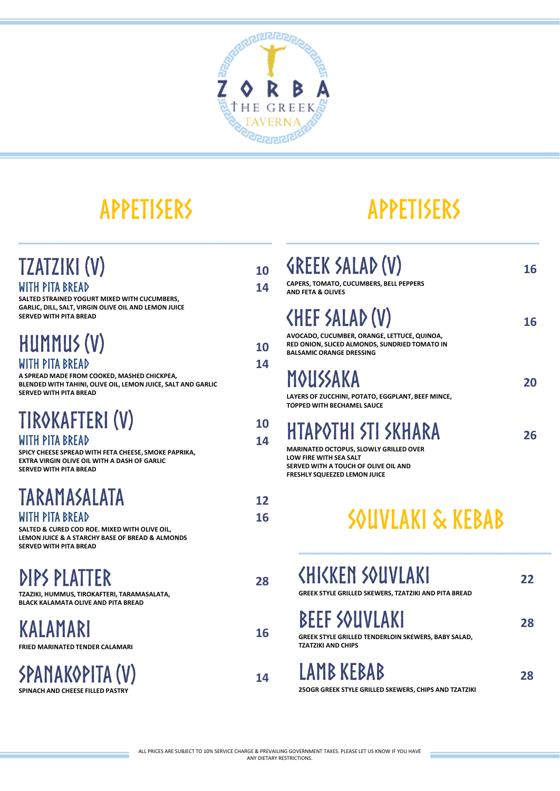

## **APPETISERS**

**\_\_\_\_\_\_\_\_\_\_\_\_\_\_\_\_\_\_\_\_\_\_\_\_\_\_\_**

## **APPETISERS**

**\_\_\_\_\_\_\_\_\_\_\_\_\_\_\_\_\_\_\_\_\_\_\_\_\_\_\_**

| <b>TZATZIKI (V)</b><br>WITH PITA BREAD<br>SALTED STRAINED YOGURT MIXED WITH CUCUMBERS,                                                                                      | 10<br>14 | <b>SREEK SALAD (V)</b><br>CAPERS, TOMATO, CUCUMBERS, BELL PEPPERS<br><b>AND FETA &amp; OLIVES</b>                                                                                    | 16 |
|-----------------------------------------------------------------------------------------------------------------------------------------------------------------------------|----------|--------------------------------------------------------------------------------------------------------------------------------------------------------------------------------------|----|
| GARLIC, DILL, SALT, VIRGIN OLIVE OIL AND LEMON JUICE<br><b>SERVED WITH PITA BREAD</b>                                                                                       |          | <b><hef (v)<="" b="" salad=""><br/>AVOCADO, CUCUMBER, ORANGE, LETTUCE, QUINOA,</hef></b>                                                                                             | 16 |
| HUMMUS (V)                                                                                                                                                                  | 10       | RED ONION, SLICED ALMONDS, SUNDRIED TOMATO IN<br><b>BALSAMIC ORANGE DRESSING</b>                                                                                                     |    |
| WITH PITA BREAD<br>A SPREAD MADE FROM COOKED, MASHED CHICKPEA,<br>BLENDED WITH TAHINI, OLIVE OIL, LEMON JUICE, SALT AND GARLIC<br><b>SERVED WITH PITA BREAD</b>             | 14       | MOUSSAKA<br>LAYERS OF ZUCCHINI, POTATO, EGGPLANT, BEEF MINCE,<br><b>TOPPED WITH BECHAMEL SAUCE</b>                                                                                   | 20 |
| TIROKAFTERI (V)<br>WITH PITA BREAD<br>SPICY CHEESE SPREAD WITH FETA CHEESE, SMOKE PAPRIKA,<br><b>EXTRA VIRGIN OLIVE OIL WITH A DASH OF GARLIC</b><br>SERVED WITH PITA BREAD | 10<br>14 | HTAPOTHI STI SKHARA<br><b>MARINATED OCTOPUS, SLOWLY GRILLED OVER</b><br><b>LOW FIRE WITH SEA SALT</b><br>SERVED WITH A TOUCH OF OLIVE OIL AND<br><b>FRESHLY SQUEEZED LEMON JUICE</b> | 26 |
| TARAMASALATA<br>WITH PITA BREAD<br>SALTED & CURED COD ROE. MIXED WITH OLIVE OIL,<br>LEMON JUICE & A STARCHY BASE OF BREAD & ALMONDS<br><b>SERVED WITH PITA BREAD</b>        | 12<br>16 | SOUVLAKI & KEBAB                                                                                                                                                                     |    |
| DIPS PLATTER<br>TZAZIKI, HUMMUS, TIROKAFTERI, TARAMASALATA,<br><b>BLACK KALAMATA OLIVE AND PITA BREAD</b>                                                                   | 28       | <b>KHIKKEN SOUVLAKI</b><br>GREEK STYLE GRILLED SKEWERS, TZATZIKI AND PITA BREAD                                                                                                      | 22 |
| KALAMARI<br><b>FRIED MARINATED TENDER CALAMARI</b>                                                                                                                          | 16       | <b>BEEF SOUVLAKI</b><br>GREEK STYLE GRILLED TENDERLOIN SKEWERS, BABY SALAD,<br><b>TZATZIKI AND CHIPS</b>                                                                             | 28 |
| SPANAKOPITA (V)<br>SPINACH AND CHEESE FILLED PASTRY                                                                                                                         | 14       | LAMB KEBAB<br>250GR GREEK STYLE GRILLED SKEWERS, CHIPS AND TZATZIKI                                                                                                                  | 28 |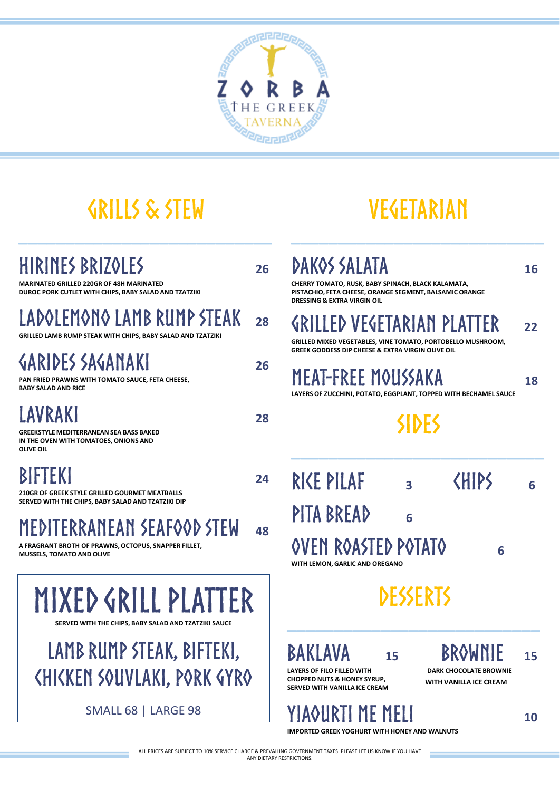

**26**

**26**

**28**

**24**

## **GRILLS & STEW**

**\_\_\_\_\_\_\_\_\_\_\_\_\_\_\_\_\_\_\_\_\_\_\_\_\_\_\_**

## HIRINES BRIZQLES

**MARINATED GRILLED 220GR OF 48H MARINATED DUROC PORK CUTLET WITH CHIPS, BABY SALAD AND TZATZIKI**

### LADOLEMONO LAMB RUMP STEAK **28**

**GRILLED LAMB RUMP STEAK WITH CHIPS, BABY SALAD AND TZATZIKI**

### **GARIDES SAGANAKI**

**PAN FRIED PRAWNS WITH TOMATO SAUCE, FETA CHEESE, BABY SALAD AND RICE**

### **AVRAKI**

**GREEKSTYLE MEDITERRANEAN SEA BASS BAKED IN THE OVEN WITH TOMATOES, ONIONS AND OLIVE OIL**

### BIFTEKI

**210GR OF GREEK STYLE GRILLED GOURMET MEATBALLS SERVED WITH THE CHIPS, BABY SALAD AND TZATZIKI DIP**

#### MEDITERRANEAN SEAFOOD STEW **48**

**A FRAGRANT BROTH OF PRAWNS, OCTOPUS, SNAPPER FILLET, MUSSELS, TOMATO AND OLIVE**

**MIXED GRILL PLATTER SERVED WITH THE CHIPS, BABY SALAD AND TZATZIKI SALIC** 

## LAMB RUMP STEAK, BIFTEKI, **CHICKEN SOUVLAKI, PORK GYRO**

SMALL 68 | LARGE 98

## **VEGETARIAN**

**\_\_\_\_\_\_\_\_\_\_\_\_\_\_\_\_\_\_\_\_\_\_\_\_\_\_\_**

## **DAKOS SALATA**

**CHERRY TOMATO, RUSK, BABY SPINACH, BLACK KALAMATA, PISTACHIO, FETA CHEESE, ORANGE SEGMENT, BALSAMIC ORANGE DRESSING & EXTRA VIRGIN OIL**

*SRILLED VESETARIAN PLAT* **22**

**GRILLED MIXED VEGETABLES, VINE TOMATO, PORTOBELLO MUSHROOM, GREEK GODDESS DIP CHEESE & EXTRA VIRGIN OLIVE OIL** 

## **MEAT-FREE MOUSSAKA**

**LAYERS OF ZUCCHINI, POTATO, EGGPLANT, TOPPED WITH BECHAMEL SAUCE**

## **SIDES**

**\_\_\_\_\_\_\_\_\_\_\_\_\_\_\_\_\_\_\_\_\_\_\_\_\_\_\_**

| RIKE PILAF                                                   | 3 | <b>KHIPS</b> |   | 6 |
|--------------------------------------------------------------|---|--------------|---|---|
| PITA BREAD                                                   | 6 |              |   |   |
| <b>OVEN ROASTED POTATO</b><br>WITH LEMON. GARLIC AND OREGANO |   |              | 6 |   |

**DESSERTS** 

**\_\_\_\_\_\_\_\_\_\_\_\_\_\_\_\_\_\_\_\_\_\_\_\_\_\_\_**

15 **BROWNIE** 15

**16**

**18**

LAYERS OF FILO FILLED WITH **DARK CHOCOLATE BROWNIE CHOPPED NUTS & HONEY SYRUP, SERVED WITH VANILLA ICE CREAM WITH VANILLA ICE CREAM** 

## YIAQURTI ME MELI

**IMPORTED GREEK YOGHURT WITH HONEY AND WALNUTS**

ALL PRICES ARE SUBJECT TO 10% SERVICE CHARGE & PREVAILING GOVERNMENT TAXES. PLEASE LET US KNOW IF YOU HAVE ANY DIETARY RESTRICTIONS.

**10**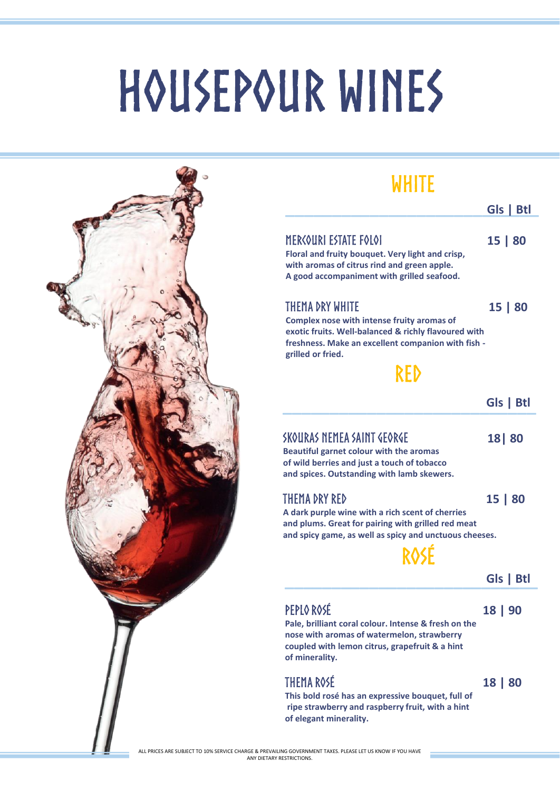## HOUSEPOUR WINES



### **WHITE**

|                                                                                                                                                                                                                | Gls   Btl |
|----------------------------------------------------------------------------------------------------------------------------------------------------------------------------------------------------------------|-----------|
| MERCOURI ESTATE FOLOI<br>Floral and fruity bouquet. Very light and crisp,<br>with aromas of citrus rind and green apple.<br>A good accompaniment with grilled seafood.                                         | 15   80   |
| <b>THEMA DRY WHITE</b><br>Complex nose with intense fruity aromas of<br>exotic fruits. Well-balanced & richly flavoured with<br>freshness. Make an excellent companion with fish -<br>grilled or fried.<br>RFD | 15   80   |
|                                                                                                                                                                                                                | Gls I     |

### SKOURAS NEMEA SAINT GEORGE

**Beautiful garnet colour with the aromas of wild berries and just a touch of tobacco and spices. Outstanding with lamb skewers.** 

### THEMA DRY RED

**15 | 80**

**18| 80**

**A dark purple wine with a rich scent of cherries and plums. Great for pairing with grilled red meat and spicy game, as well as spicy and unctuous cheeses.**



### **\_\_\_\_\_\_\_\_\_\_\_\_\_\_\_\_\_\_\_\_\_\_\_\_\_\_\_ Gls | Btl**

### PEPLO ROSÉ

**18 | 90**

**Pale, brilliant coral colour. Intense & fresh on the nose with aromas of watermelon, strawberry coupled with lemon citrus, grapefruit & a hint of minerality.**

### **THEMA ROSÉ**

**This bold rosé has an expressive bouquet, full of ripe strawberry and raspberry fruit, with a hint of elegant minerality.**

**18 | 80**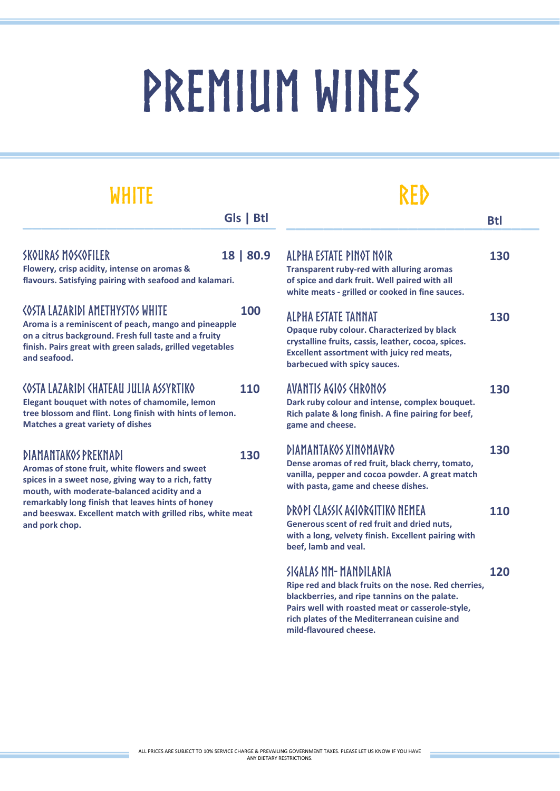# PREMIUM WINES

## **WHITE**

| Gls   Btl |  |
|-----------|--|
|           |  |

#### SKOLIRAS MOSCOFILER

**18 | 80.9**

**100**

**Flowery, crisp acidity, intense on aromas & flavours. Satisfying pairing with seafood and kalamari.**

### **<OSTA LAZARIDI AMETHYSTOS WHITE**

**Aroma is a reminiscent of peach, mango and pineapple on a citrus background. Fresh full taste and a fruity finish. Pairs great with green salads, grilled vegetables and seafood.**

#### **<OSTA LAZARIDI <HATEAU JULIA ASSYRTIKO 110**

**Elegant bouquet with notes of chamomile, lemon tree blossom and flint. Long finish with hints of lemon. Matches a great variety of dishes**

### **DIAMANTAKOS PREKNADI**

**130**

**Aromas of stone fruit, white flowers and sweet spices in a sweet nose, giving way to a rich, fatty mouth, with moderate-balanced acidity and a remarkably long finish that leaves hints of honey and beeswax. Excellent match with grilled ribs, white meat and pork chop.**

## **RFD**

| J | ALPHA ESTATE PINOT NOIR<br><b>Transparent ruby-red with alluring aromas</b><br>of spice and dark fruit. Well paired with all<br>white meats - grilled or cooked in fine sauces.                                      | 130 |
|---|----------------------------------------------------------------------------------------------------------------------------------------------------------------------------------------------------------------------|-----|
|   | <b>ALPHA ESTATE TANNAT</b><br>Opaque ruby colour. Characterized by black<br>crystalline fruits, cassis, leather, cocoa, spices.<br><b>Excellent assortment with juicy red meats,</b><br>barbecued with spicy sauces. | 130 |
|   | AVANTIS AGIOS CHRONOS<br>Dark ruby colour and intense, complex bouquet.<br>Rich palate & long finish. A fine pairing for beef,<br>game and cheese.                                                                   | 130 |
|   | DIAMANTAKOS XINOMAVRO<br>Dense aromas of red fruit, black cherry, tomato,<br>vanilla, pepper and cocoa powder. A great match<br>with pasta, game and cheese dishes.                                                  | 130 |
|   | DROPI (LASSIC AGIORGITIKO NEMEA<br>Generous scent of red fruit and dried nuts,<br>with a long, velvety finish. Excellent pairing with<br>beef, lamb and veal.                                                        | 110 |
|   | SIGALAS MM-MANDILARIA<br>Ripe red and black fruits on the nose. Red cherries,<br>blackberries, and ripe tannins on the palate.<br>Pairs well with roasted meat or casserole-style,                                   | 120 |

**rich plates of the Mediterranean cuisine and** 

**mild-flavoured cheese.**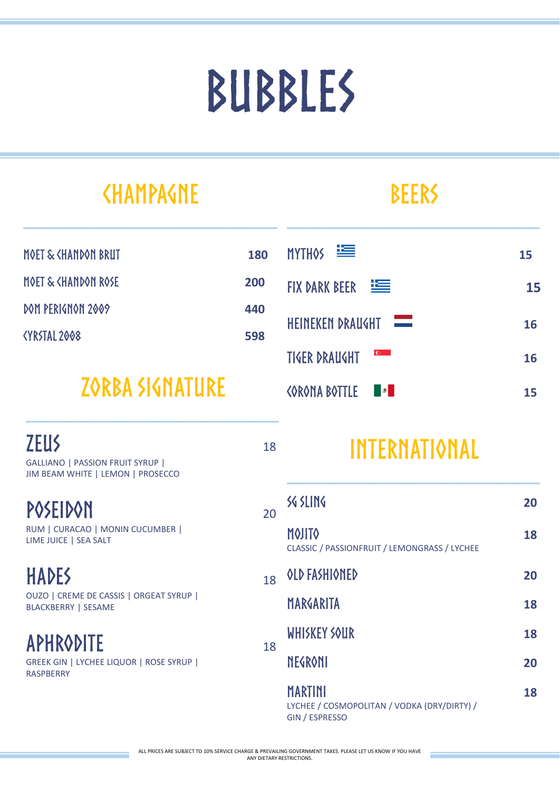## BUBBLES

**180**

**200**

**440**

**598**

## **<HAMPA<ht>**

**\_\_\_\_\_\_\_\_\_\_\_\_\_\_\_\_\_\_\_\_\_\_\_\_\_\_\_**

MOET & <HANDON ROSE

DOM PERIGNON 2009

<YRSTAL 2008

## **ZORBA SIGNATURE**

| <b>ZEUS</b><br>GALLIANO   PASSION FRUIT SYRUP  <br>JIM BEAM WHITE   LEMON   PROSECCO  | 18 |
|---------------------------------------------------------------------------------------|----|
| POSEIDON<br>RUM   CURACAO   MONIN CUCUMBER  <br>LIME JUICE   SEA SALT                 | 20 |
| <b>HADES</b><br>OUZO   CREME DE CASSIS   ORGEAT SYRUP  <br><b>BLACKBERRY   SESAME</b> | 18 |
| <b>APHRODITE</b><br>GREEK GIN   LYCHEE LIQUOR   ROSE SYRUP  <br><b>RASPBFRRY</b>      | 18 |

## **BEERS**

**\_\_\_\_\_\_\_\_\_\_\_\_\_\_\_\_\_\_\_\_\_\_\_\_\_\_\_**

#### MYTHOS<sup>EE</sup> **15** FIX DARK BEER 医 **15** HEINEKEN DRAUGHT **16 TIGER DRAUGHT 16 CORONA BOTTLE Bart 15**

## INTERNATIONAL

| 20 | SG SLING                                                                 | 20 |
|----|--------------------------------------------------------------------------|----|
|    | MOJITO<br>CLASSIC / PASSIONFRUIT / LEMONGRASS / LYCHEE                   | 18 |
| 18 | OLD FASHIONED                                                            | 20 |
|    | MARGARITA                                                                | 18 |
|    | WHISKEY SOUR                                                             | 18 |
| 18 | <b>NEGRONI</b>                                                           | 20 |
|    | MARTINI<br>LYCHEE / COSMOPOLITAN / VODKA (DRY/DIRTY) /<br>GIN / ESPRESSO | 18 |

ALL PRICES ARE SUBJECT TO 10% SERVICE CHARGE & PREVAILING GOVERNMENT TAXES. PLEASE LET US KNOW IF YOU HAVE ANY DIETARY RESTRICTIONS.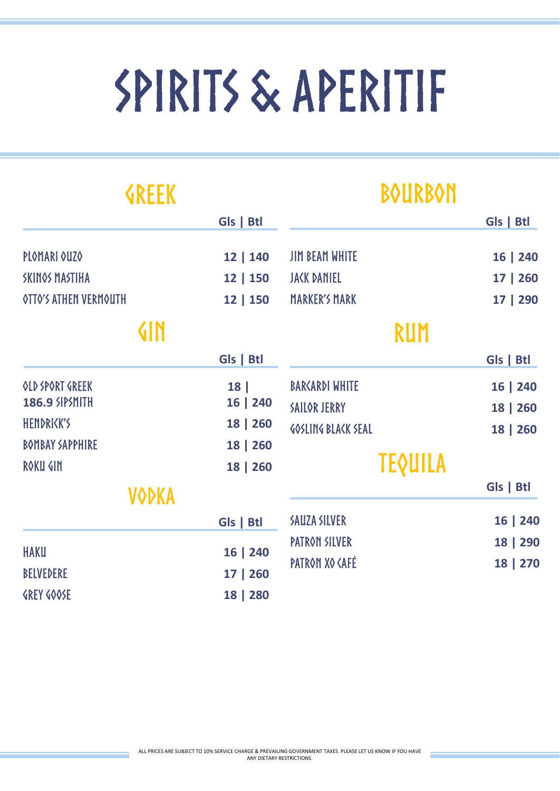# SPIRITS & APERITIF

| <b>GREEK</b>                 |           | <b>BOURBON</b>                                 |           |
|------------------------------|-----------|------------------------------------------------|-----------|
|                              | Gls   Btl |                                                | Gls   Btl |
| PLOMARI OUZO                 | 12   140  | <b>JIM BEAM WHITE</b>                          | 16   240  |
| <b>SKINOS MASTIHA</b>        | 12   150  | <b>JAKK DANIEL</b>                             | 17   260  |
| <b>OTTO'S ATHEN VERMOUTH</b> | 12 150    | <b>MARKER'S MARK</b>                           | 17   290  |
| <b>GIN</b>                   |           | RUM                                            |           |
|                              | Gls   Btl |                                                | Gls   Btl |
| OLD SPORT GREEK              | 18        | <b>BARKARDI WHITE</b>                          | 16   240  |
| <b>186.9 SIPSMITH</b>        | 16   240  | SAILOR JERRY                                   | 18   260  |
| HENDRIKK'S                   | 18   260  | <b>GOSLING BLACK SEAL</b>                      | 18   260  |
| <b>BOMBAY SAPPHIRE</b>       | 18   260  |                                                |           |
| ROKU GIN                     | 18   260  | <b>TEQUILA</b>                                 |           |
| <b>VODKA</b>                 |           |                                                | Gls   Btl |
|                              | Gls   Btl | <b>SAUZA SILVER</b>                            | 16   240  |
| <b>HAKU</b>                  |           | PATRON SILVER                                  | 18   290  |
|                              | 16   240  | PATRON XO <afé< td=""><td>18   270</td></afé<> | 18   270  |
| <b>BELVEDERE</b>             | 17   260  |                                                |           |
| <b>GREY GOOSE</b>            | 18   280  |                                                |           |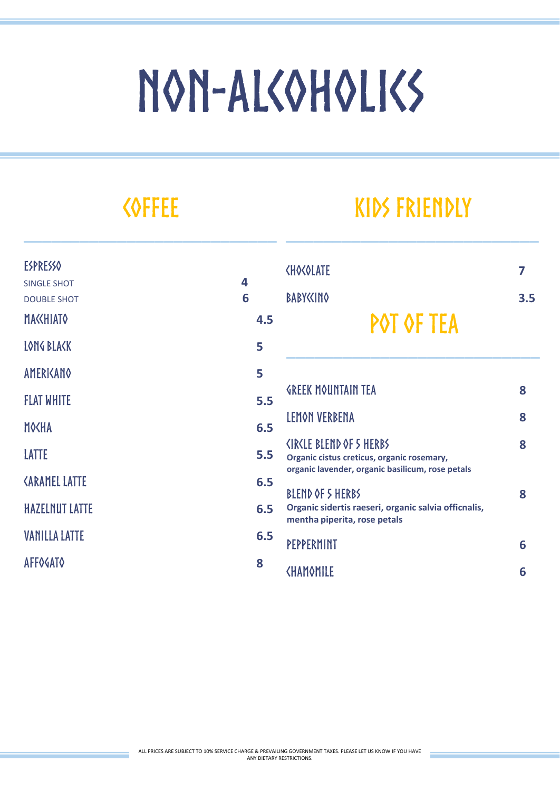# NON-ALSOHOLISS

## **KOFFEE**

**\_\_\_\_\_\_\_\_\_\_\_\_\_\_\_\_\_\_\_\_\_\_\_\_\_\_\_**

## **KIDS FRIENDLY**

**\_\_\_\_\_\_\_\_\_\_\_\_\_\_\_\_\_\_\_\_\_\_\_\_\_\_\_**

| <b>ESPRESSO</b>                                |        | <b><ho<olate< b=""></ho<olate<></b>                                                                                                            | 7   |
|------------------------------------------------|--------|------------------------------------------------------------------------------------------------------------------------------------------------|-----|
| <b>SINGLE SHOT</b><br><b>DOUBLE SHOT</b>       | 4<br>6 | <b>BABY<cino< b=""></cino<></b>                                                                                                                | 3.5 |
| <b>MAKHIATO</b>                                | 4.5    | POT OF TEA                                                                                                                                     |     |
| LONG BLACK                                     | 5      |                                                                                                                                                |     |
| <b>AMERICANO</b>                               | 5      |                                                                                                                                                |     |
| <b>FLAT WHITE</b>                              | 5.5    | <b><i>GREEK MOUNTAIN TEA</i></b>                                                                                                               | 8   |
| <b>MOKHA</b>                                   | 6.5    | LEMON VERBENA                                                                                                                                  | 8   |
| <b>LATTE</b>                                   | 5.5    | <ir<le 5="" blend="" herbs<br="" of="">Organic cistus creticus, organic rosemary,<br/>organic lavender, organic basilicum, rose petals</ir<le> | 8   |
| <b><i><aramel i="" latte<=""></aramel></i></b> | 6.5    | BLEND OF 5 HERBS                                                                                                                               | 8   |
| <b>HAZELNUT LATTE</b>                          | 6.5    | Organic sidertis raeseri, organic salvia officnalis,<br>mentha piperita, rose petals                                                           |     |
| <b>VANILLA LATTE</b>                           | 6.5    | PEPPERMINT                                                                                                                                     | 6   |
| <b>AFFOGATO</b>                                | 8      | <b><hamomile< b=""></hamomile<></b>                                                                                                            | 6   |
|                                                |        |                                                                                                                                                |     |